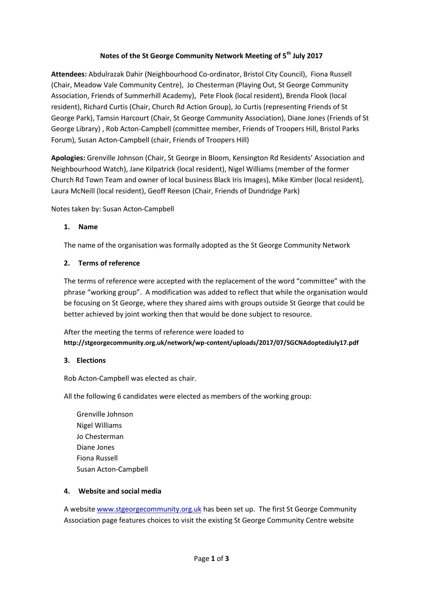## **Notes of the St George Community Network Meeting of 5th July 2017**

**Attendees:** Abdulrazak Dahir (Neighbourhood Co-ordinator, Bristol City Council), Fiona Russell (Chair, Meadow Vale Community Centre), Jo Chesterman (Playing Out, St George Community Association, Friends of Summerhill Academy), Pete Flook (local resident), Brenda Flook (local resident), Richard Curtis (Chair, Church Rd Action Group), Jo Curtis (representing Friends of St George Park), Tamsin Harcourt (Chair, St George Community Association), Diane Jones (Friends of St George Library) , Rob Acton-Campbell (committee member, Friends of Troopers Hill, Bristol Parks Forum), Susan Acton-Campbell (chair, Friends of Troopers Hill)

**Apologies:** Grenville Johnson (Chair, St George in Bloom, Kensington Rd Residents' Association and Neighbourhood Watch), Jane Kilpatrick (local resident), Nigel Williams (member of the former Church Rd Town Team and owner of local business Black Iris Images), Mike Kimber (local resident), Laura McNeill (local resident), Geoff Reeson (Chair, Friends of Dundridge Park)

Notes taken by: Susan Acton-Campbell

#### **1. Name**

The name of the organisation was formally adopted as the St George Community Network

#### **2. Terms of reference**

The terms of reference were accepted with the replacement of the word "committee" with the phrase "working group". A modification was added to reflect that while the organisation would be focusing on St George, where they shared aims with groups outside St George that could be better achieved by joint working then that would be done subject to resource.

After the meeting the terms of reference were loaded to **http://stgeorgecommunity.org.uk/network/wp-content/uploads/2017/07/SGCNAdoptedJuly17.pdf**

## **3. Elections**

Rob Acton-Campbell was elected as chair.

All the following 6 candidates were elected as members of the working group:

Grenville Johnson Nigel Williams Jo Chesterman Diane Jones Fiona Russell Susan Acton-Campbell

## **4. Website and social media**

A websit[e www.stgeorgecommunity.org.uk](http://www.stgeorgecommunity.org.uk/) has been set up. The first St George Community Association page features choices to visit the existing St George Community Centre website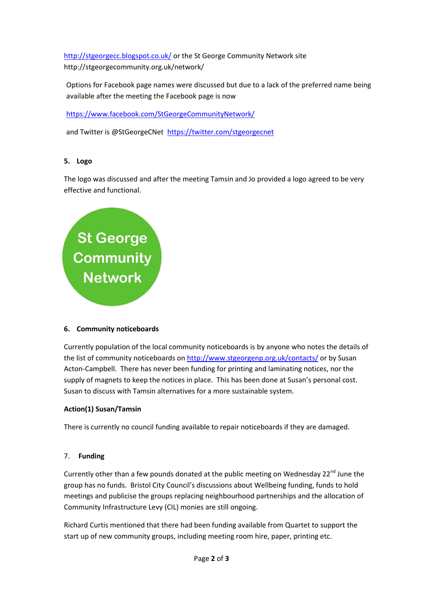<http://stgeorgecc.blogspot.co.uk/> or the St George Community Network site http://stgeorgecommunity.org.uk/network/

Options for Facebook page names were discussed but due to a lack of the preferred name being available after the meeting the Facebook page is now

<https://www.facebook.com/StGeorgeCommunityNetwork/>

and Twitter is @StGeorgeCNet <https://twitter.com/stgeorgecnet>

## **5. Logo**

The logo was discussed and after the meeting Tamsin and Jo provided a logo agreed to be very effective and functional.

# St George<br>Community<br>Network

## **6. Community noticeboards**

Currently population of the local community noticeboards is by anyone who notes the details of the list of community noticeboards on<http://www.stgeorgenp.org.uk/contacts/> or by Susan Acton-Campbell. There has never been funding for printing and laminating notices, nor the supply of magnets to keep the notices in place. This has been done at Susan's personal cost. Susan to discuss with Tamsin alternatives for a more sustainable system.

# **Action(1) Susan/Tamsin**

There is currently no council funding available to repair noticeboards if they are damaged.

# 7. **Funding**

Currently other than a few pounds donated at the public meeting on Wednesday  $22^{nd}$  June the group has no funds. Bristol City Council's discussions about Wellbeing funding, funds to hold meetings and publicise the groups replacing neighbourhood partnerships and the allocation of Community Infrastructure Levy (CIL) monies are still ongoing.

Richard Curtis mentioned that there had been funding available from Quartet to support the start up of new community groups, including meeting room hire, paper, printing etc.